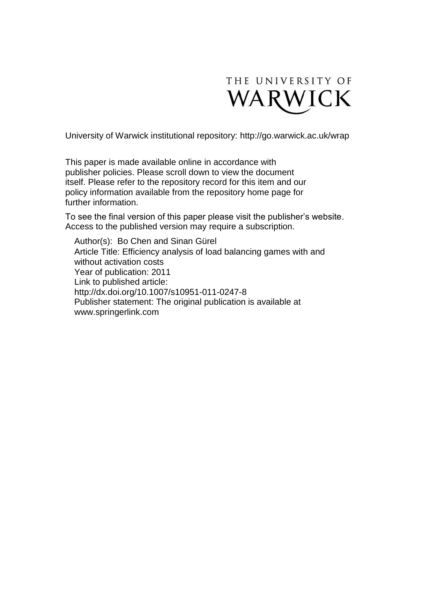

University of Warwick institutional repository:<http://go.warwick.ac.uk/wrap>

This paper is made available online in accordance with publisher policies. Please scroll down to view the document itself. Please refer to the repository record for this item and our policy information available from the repository home page for further information.

To see the final version of this paper please visit the publisher's website. Access to the published version may require a subscription.

Author(s): Bo Chen and Sinan Gürel Article Title: Efficiency analysis of load balancing games with and without activation costs Year of publication: 2011 Link to published article: http://dx.doi.org/10.1007/s10951-011-0247-8 Publisher statement: The original publication is available at www.springerlink.com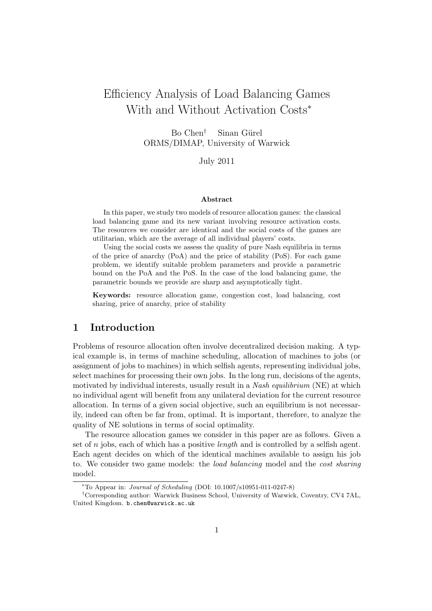# Efficiency Analysis of Load Balancing Games With and Without Activation Costs<sup>∗</sup>

 $Bo Chen^{\dagger}$  Sinan Gürel ORMS/DIMAP, University of Warwick

July 2011

#### Abstract

In this paper, we study two models of resource allocation games: the classical load balancing game and its new variant involving resource activation costs. The resources we consider are identical and the social costs of the games are utilitarian, which are the average of all individual players' costs.

Using the social costs we assess the quality of pure Nash equilibria in terms of the price of anarchy (PoA) and the price of stability (PoS). For each game problem, we identify suitable problem parameters and provide a parametric bound on the PoA and the PoS. In the case of the load balancing game, the parametric bounds we provide are sharp and asymptotically tight.

Keywords: resource allocation game, congestion cost, load balancing, cost sharing, price of anarchy, price of stability

#### 1 Introduction

Problems of resource allocation often involve decentralized decision making. A typical example is, in terms of machine scheduling, allocation of machines to jobs (or assignment of jobs to machines) in which selfish agents, representing individual jobs, select machines for processing their own jobs. In the long run, decisions of the agents, motivated by individual interests, usually result in a *Nash equilibrium* (NE) at which no individual agent will benefit from any unilateral deviation for the current resource allocation. In terms of a given social objective, such an equilibrium is not necessarily, indeed can often be far from, optimal. It is important, therefore, to analyze the quality of NE solutions in terms of social optimality.

The resource allocation games we consider in this paper are as follows. Given a set of n jobs, each of which has a positive *length* and is controlled by a selfish agent. Each agent decides on which of the identical machines available to assign his job to. We consider two game models: the load balancing model and the cost sharing model.

<sup>∗</sup>To Appear in: Journal of Scheduling (DOI: 10.1007/s10951-011-0247-8)

<sup>†</sup>Corresponding author: Warwick Business School, University of Warwick, Coventry, CV4 7AL, United Kingdom. b.chen@warwick.ac.uk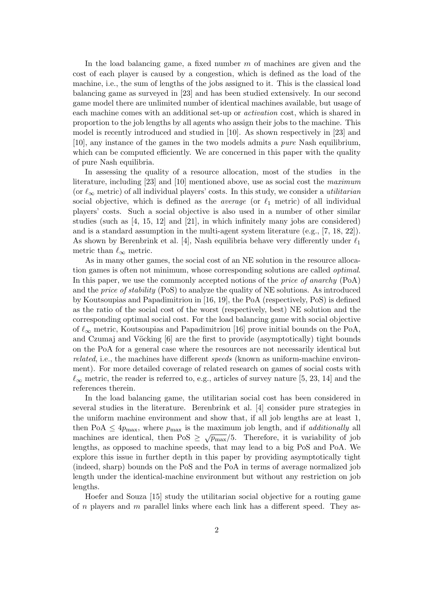In the load balancing game, a fixed number  $m$  of machines are given and the cost of each player is caused by a congestion, which is defined as the load of the machine, i.e., the sum of lengths of the jobs assigned to it. This is the classical load balancing game as surveyed in [23] and has been studied extensively. In our second game model there are unlimited number of identical machines available, but usage of each machine comes with an additional set-up or activation cost, which is shared in proportion to the job lengths by all agents who assign their jobs to the machine. This model is recently introduced and studied in [10]. As shown respectively in [23] and [10], any instance of the games in the two models admits a pure Nash equilibrium, which can be computed efficiently. We are concerned in this paper with the quality of pure Nash equilibria.

In assessing the quality of a resource allocation, most of the studies in the literature, including [23] and [10] mentioned above, use as social cost the maximum (or  $\ell_{\infty}$  metric) of all individual players' costs. In this study, we consider a *utilitarian* social objective, which is defined as the *average* (or  $\ell_1$  metric) of all individual players' costs. Such a social objective is also used in a number of other similar studies (such as [4, 15, 12] and [21], in which infinitely many jobs are considered) and is a standard assumption in the multi-agent system literature (e.g., [7, 18, 22]). As shown by Berenbrink et al. [4], Nash equilibria behave very differently under  $\ell_1$ metric than  $\ell_{\infty}$  metric.

As in many other games, the social cost of an NE solution in the resource allocation games is often not minimum, whose corresponding solutions are called optimal. In this paper, we use the commonly accepted notions of the price of anarchy (PoA) and the price of stability (PoS) to analyze the quality of NE solutions. As introduced by Koutsoupias and Papadimitriou in [16, 19], the PoA (respectively, PoS) is defined as the ratio of the social cost of the worst (respectively, best) NE solution and the corresponding optimal social cost. For the load balancing game with social objective of  $\ell_{\infty}$  metric, Koutsoupias and Papadimitriou [16] prove initial bounds on the PoA, and Czumaj and Vöcking  $[6]$  are the first to provide (asymptotically) tight bounds on the PoA for a general case where the resources are not necessarily identical but related, i.e., the machines have different speeds (known as uniform-machine environment). For more detailed coverage of related research on games of social costs with  $\ell_{\infty}$  metric, the reader is referred to, e.g., articles of survey nature [5, 23, 14] and the references therein.

In the load balancing game, the utilitarian social cost has been considered in several studies in the literature. Berenbrink et al. [4] consider pure strategies in the uniform machine environment and show that, if all job lengths are at least 1, then PoA  $\leq 4p_{\text{max}}$ , where  $p_{\text{max}}$  is the maximum job length, and if additionally all machines are identical, then PoS  $\geq \sqrt{p_{\text{max}}}/5$ . Therefore, it is variability of job lengths, as opposed to machine speeds, that may lead to a big PoS and PoA. We explore this issue in further depth in this paper by providing asymptotically tight (indeed, sharp) bounds on the PoS and the PoA in terms of average normalized job length under the identical-machine environment but without any restriction on job lengths.

Hoefer and Souza [15] study the utilitarian social objective for a routing game of n players and m parallel links where each link has a different speed. They as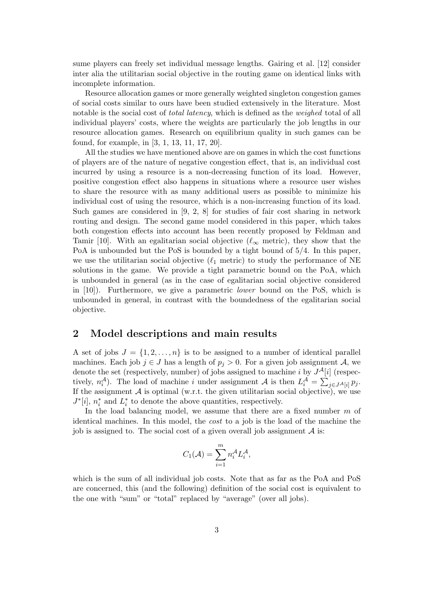sume players can freely set individual message lengths. Gairing et al. [12] consider inter alia the utilitarian social objective in the routing game on identical links with incomplete information.

Resource allocation games or more generally weighted singleton congestion games of social costs similar to ours have been studied extensively in the literature. Most notable is the social cost of *total latency*, which is defined as the *weighed* total of all individual players' costs, where the weights are particularly the job lengths in our resource allocation games. Research on equilibrium quality in such games can be found, for example, in [3, 1, 13, 11, 17, 20].

All the studies we have mentioned above are on games in which the cost functions of players are of the nature of negative congestion effect, that is, an individual cost incurred by using a resource is a non-decreasing function of its load. However, positive congestion effect also happens in situations where a resource user wishes to share the resource with as many additional users as possible to minimize his individual cost of using the resource, which is a non-increasing function of its load. Such games are considered in  $[9, 2, 8]$  for studies of fair cost sharing in network routing and design. The second game model considered in this paper, which takes both congestion effects into account has been recently proposed by Feldman and Tamir [10]. With an egalitarian social objective ( $\ell_{\infty}$  metric), they show that the PoA is unbounded but the PoS is bounded by a tight bound of 5/4. In this paper, we use the utilitarian social objective ( $\ell_1$  metric) to study the performance of NE solutions in the game. We provide a tight parametric bound on the PoA, which is unbounded in general (as in the case of egalitarian social objective considered in  $[10]$ . Furthermore, we give a parametric *lower* bound on the PoS, which is unbounded in general, in contrast with the boundedness of the egalitarian social objective.

#### 2 Model descriptions and main results

A set of jobs  $J = \{1, 2, ..., n\}$  is to be assigned to a number of identical parallel machines. Each job  $j \in J$  has a length of  $p_j > 0$ . For a given job assignment A, we denote the set (respectively, number) of jobs assigned to machine i by  $J^{\mathcal{A}}[i]$  (respectively,  $n_i^{\mathcal{A}}$ ). The load of machine i under assignment  $\mathcal{A}$  is then  $L_i^{\mathcal{A}} = \sum_{j \in J^{\mathcal{A}}[i]} p_j$ . If the assignment  $A$  is optimal (w.r.t. the given utilitarian social objective), we use  $J^*[i]$ ,  $n_i^*$  and  $L_i^*$  to denote the above quantities, respectively.

In the load balancing model, we assume that there are a fixed number  $m$  of identical machines. In this model, the cost to a job is the load of the machine the job is assigned to. The social cost of a given overall job assignment  $A$  is:

$$
C_1(\mathcal{A}) = \sum_{i=1}^m n_i^{\mathcal{A}} L_i^{\mathcal{A}},
$$

which is the sum of all individual job costs. Note that as far as the PoA and PoS are concerned, this (and the following) definition of the social cost is equivalent to the one with "sum" or "total" replaced by "average" (over all jobs).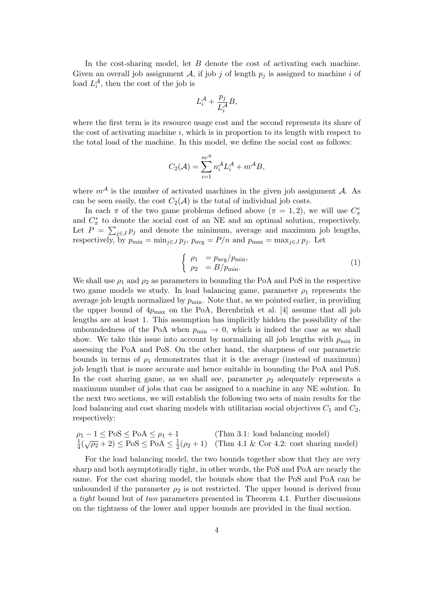In the cost-sharing model, let B denote the cost of activating each machine. Given an overall job assignment A, if job j of length  $p_j$  is assigned to machine i of load  $L_i^{\mathcal{A}}$ , then the cost of the job is

$$
L_i^{\mathcal{A}} + \frac{p_j}{L_i^{\mathcal{A}}}B,
$$

where the first term is its resource usage cost and the second represents its share of the cost of activating machine  $i$ , which is in proportion to its length with respect to the total load of the machine. In this model, we define the social cost as follows:

$$
C_2(\mathcal{A}) = \sum_{i=1}^{m^{\mathcal{A}}} n_i^{\mathcal{A}} L_i^{\mathcal{A}} + m^{\mathcal{A}} B,
$$

where  $m^{\mathcal{A}}$  is the number of activated machines in the given job assignment  $\mathcal{A}$ . As can be seen easily, the cost  $C_2(\mathcal{A})$  is the total of individual job costs.

In each  $\pi$  of the two game problems defined above  $(\pi = 1, 2)$ , we will use  $C_{\pi}^e$ and  $C^*_{\pi}$  to denote the social cost of an NE and an optimal solution, respectively. Let  $P = \sum_{j \in J} p_j$  and denote the minimum, average and maximum job lengths, respectively, by  $p_{\min} = \min_{j \in J} p_j$ ,  $p_{\text{avg}} = P/n$  and  $p_{\max} = \max_{j \in J} p_j$ . Let

$$
\begin{cases}\n\rho_1 = p_{\text{avg}}/p_{\text{min}},\\ \n\rho_2 = B/p_{\text{min}}.\n\end{cases} \tag{1}
$$

We shall use  $\rho_1$  and  $\rho_2$  as parameters in bounding the PoA and PoS in the respective two game models we study. In load balancing game, parameter  $\rho_1$  represents the average job length normalized by  $p_{\text{min}}$ . Note that, as we pointed earlier, in providing the upper bound of  $4p_{\text{max}}$  on the PoA, Berenbrink et al. [4] assume that all job lengths are at least 1. This assumption has implicitly hidden the possibility of the unboundedness of the PoA when  $p_{\min} \to 0$ , which is indeed the case as we shall show. We take this issue into account by normalizing all job lengths with  $p_{\min}$  in assessing the PoA and PoS. On the other hand, the sharpness of our parametric bounds in terms of  $\rho_1$  demonstrates that it is the average (instead of maximum) job length that is more accurate and hence suitable in bounding the PoA and PoS. In the cost sharing game, as we shall see, parameter  $\rho_2$  adequately represents a maximum number of jobs that can be assigned to a machine in any NE solution. In the next two sections, we will establish the following two sets of main results for the load balancing and cost sharing models with utilitarian social objectives  $C_1$  and  $C_2$ , respectively:

$$
\rho_1 - 1 \le \text{PoS} \le \text{PoA} \le \rho_1 + 1 \qquad \text{(Thm 3.1: load balancing model)}
$$
  

$$
\frac{1}{4}(\sqrt{\rho_2} + 2) \le \text{PoS} \le \text{PoA} \le \frac{1}{2}(\rho_2 + 1) \qquad \text{(Thm 4.1 & Cor 4.2: cost sharing model)}
$$

For the load balancing model, the two bounds together show that they are very sharp and both asymptotically tight, in other words, the PoS and PoA are nearly the same. For the cost sharing model, the bounds show that the PoS and PoA can be unbounded if the parameter  $\rho_2$  is not restricted. The upper bound is derived from a tight bound but of two parameters presented in Theorem 4.1. Further discussions on the tightness of the lower and upper bounds are provided in the final section.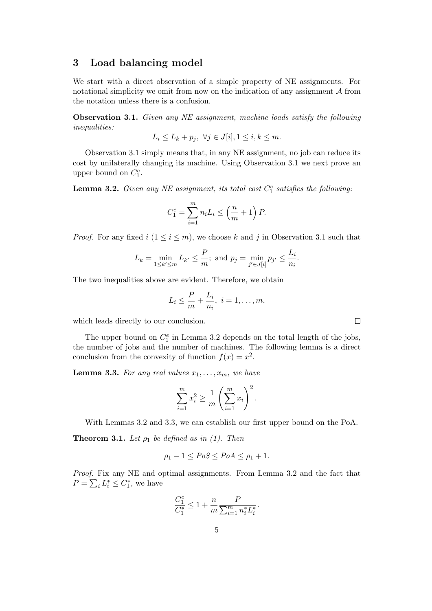#### 3 Load balancing model

We start with a direct observation of a simple property of NE assignments. For notational simplicity we omit from now on the indication of any assignment  $A$  from the notation unless there is a confusion.

Observation 3.1. Given any NE assignment, machine loads satisfy the following inequalities:

$$
L_i \le L_k + p_j, \ \forall j \in J[i], 1 \le i, k \le m.
$$

Observation 3.1 simply means that, in any NE assignment, no job can reduce its cost by unilaterally changing its machine. Using Observation 3.1 we next prove an upper bound on  $C_1^e$ .

**Lemma 3.2.** Given any NE assignment, its total cost  $C_1^e$  satisfies the following:

$$
C_1^e = \sum_{i=1}^m n_i L_i \le \left(\frac{n}{m} + 1\right) P.
$$

*Proof.* For any fixed  $i$   $(1 \leq i \leq m)$ , we choose k and j in Observation 3.1 such that

$$
L_k = \min_{1 \le k' \le m} L_{k'} \le \frac{P}{m}; \text{ and } p_j = \min_{j' \in J[i]} p_{j'} \le \frac{L_i}{n_i}.
$$

The two inequalities above are evident. Therefore, we obtain

$$
L_i \leq \frac{P}{m} + \frac{L_i}{n_i}, \ i = 1, \dots, m,
$$

which leads directly to our conclusion.

The upper bound on  $C_1^e$  in Lemma 3.2 depends on the total length of the jobs, the number of jobs and the number of machines. The following lemma is a direct conclusion from the convexity of function  $f(x) = x^2$ .

**Lemma 3.3.** For any real values  $x_1, \ldots, x_m$ , we have

$$
\sum_{i=1}^{m} x_i^2 \ge \frac{1}{m} \left( \sum_{i=1}^{m} x_i \right)^2.
$$

With Lemmas 3.2 and 3.3, we can establish our first upper bound on the PoA.

**Theorem 3.1.** Let  $\rho_1$  be defined as in (1). Then

$$
\rho_1 - 1 \le PoS \le PoA \le \rho_1 + 1.
$$

Proof. Fix any NE and optimal assignments. From Lemma 3.2 and the fact that  $P = \sum_i L_i^* \leq C_1^*$ , we have

$$
\frac{C_1^e}{C_1^*} \le 1 + \frac{n}{m} \frac{P}{\sum_{i=1}^m n_i^* L_i^*}.
$$

 $\Box$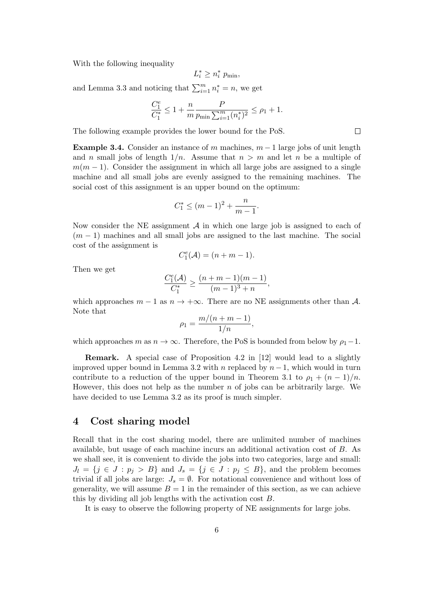With the following inequality

$$
L_i^* \ge n_i^* p_{\min},
$$

and Lemma 3.3 and noticing that  $\sum_{i=1}^{m} n_i^* = n$ , we get

$$
\frac{C_1^e}{C_1^*} \leq 1 + \frac{n}{m} \frac{P}{p_{\min} \sum_{i=1}^m (n_i^*)^2} \leq \rho_1 + 1.
$$

The following example provides the lower bound for the PoS.

**Example 3.4.** Consider an instance of m machines,  $m-1$  large jobs of unit length and n small jobs of length  $1/n$ . Assume that  $n > m$  and let n be a multiple of  $m(m-1)$ . Consider the assignment in which all large jobs are assigned to a single machine and all small jobs are evenly assigned to the remaining machines. The social cost of this assignment is an upper bound on the optimum:

$$
C_1^* \le (m-1)^2 + \frac{n}{m-1}.
$$

Now consider the NE assignment  $\mathcal A$  in which one large job is assigned to each of  $(m-1)$  machines and all small jobs are assigned to the last machine. The social cost of the assignment is

$$
C_1^e(\mathcal{A}) = (n+m-1).
$$

Then we get

$$
\frac{C_1^e(\mathcal{A})}{C_1^*} \ge \frac{(n+m-1)(m-1)}{(m-1)^3 + n},
$$

which approaches  $m-1$  as  $n \to +\infty$ . There are no NE assignments other than A. Note that

$$
\rho_1 = \frac{m/(n+m-1)}{1/n},
$$

which approaches m as  $n \to \infty$ . Therefore, the PoS is bounded from below by  $\rho_1-1$ .

Remark. A special case of Proposition 4.2 in [12] would lead to a slightly improved upper bound in Lemma 3.2 with n replaced by  $n-1$ , which would in turn contribute to a reduction of the upper bound in Theorem 3.1 to  $\rho_1 + (n-1)/n$ . However, this does not help as the number  $n$  of jobs can be arbitrarily large. We have decided to use Lemma 3.2 as its proof is much simpler.

#### 4 Cost sharing model

Recall that in the cost sharing model, there are unlimited number of machines available, but usage of each machine incurs an additional activation cost of B. As we shall see, it is convenient to divide the jobs into two categories, large and small:  $J_l = \{j \in J : p_j > B\}$  and  $J_s = \{j \in J : p_j \leq B\}$ , and the problem becomes trivial if all jobs are large:  $J_s = \emptyset$ . For notational convenience and without loss of generality, we will assume  $B = 1$  in the remainder of this section, as we can achieve this by dividing all job lengths with the activation cost B.

It is easy to observe the following property of NE assignments for large jobs.

 $\Box$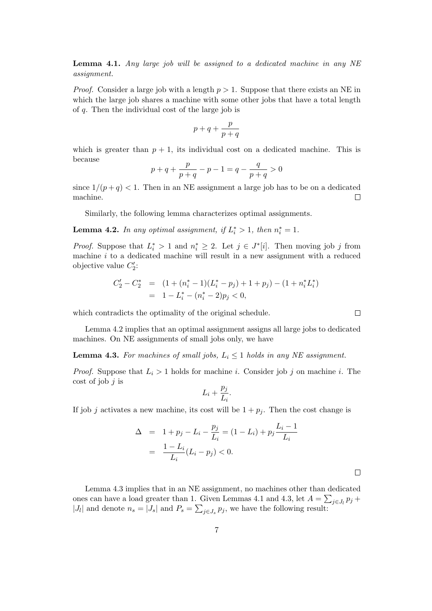Lemma 4.1. Any large job will be assigned to a dedicated machine in any NE assignment.

*Proof.* Consider a large job with a length  $p > 1$ . Suppose that there exists an NE in which the large job shares a machine with some other jobs that have a total length of q. Then the individual cost of the large job is

$$
p + q + \frac{p}{p + q}
$$

which is greater than  $p + 1$ , its individual cost on a dedicated machine. This is because

$$
p + q + \frac{p}{p + q} - p - 1 = q - \frac{q}{p + q} > 0
$$

since  $1/(p+q) < 1$ . Then in an NE assignment a large job has to be on a dedicated machine.  $\Box$ 

Similarly, the following lemma characterizes optimal assignments.

**Lemma 4.2.** In any optimal assignment, if  $L_i^* > 1$ , then  $n_i^* = 1$ .

*Proof.* Suppose that  $L_i^* > 1$  and  $n_i^* \geq 2$ . Let  $j \in J^*[i]$ . Then moving job j from machine  $i$  to a dedicated machine will result in a new assignment with a reduced objective value  $C_2'$ :

$$
C'_2 - C_2^* = (1 + (n_i^* - 1)(L_i^* - p_j) + 1 + p_j) - (1 + n_i^* L_i^*)
$$
  
= 1 - L\_i^\* - (n\_i^\* - 2)p\_j < 0,

which contradicts the optimality of the original schedule.

Lemma 4.2 implies that an optimal assignment assigns all large jobs to dedicated machines. On NE assignments of small jobs only, we have

**Lemma 4.3.** For machines of small jobs,  $L_i \leq 1$  holds in any NE assignment.

*Proof.* Suppose that  $L_i > 1$  holds for machine i. Consider job j on machine i. The cost of job  $j$  is

$$
L_i+\frac{p_j}{L_i}.
$$

If job j activates a new machine, its cost will be  $1 + p_i$ . Then the cost change is

$$
\Delta = 1 + p_j - L_i - \frac{p_j}{L_i} = (1 - L_i) + p_j \frac{L_i - 1}{L_i}
$$
  
= 
$$
\frac{1 - L_i}{L_i} (L_i - p_j) < 0.
$$

Lemma 4.3 implies that in an NE assignment, no machines other than dedicated ones can have a load greater than 1. Given Lemmas 4.1 and 4.3, let  $A = \sum_{j \in J_l} p_j +$  $|J_l|$  and denote  $n_s = |J_s|$  and  $P_s = \sum_{j \in J_s} p_j$ , we have the following result:

 $\Box$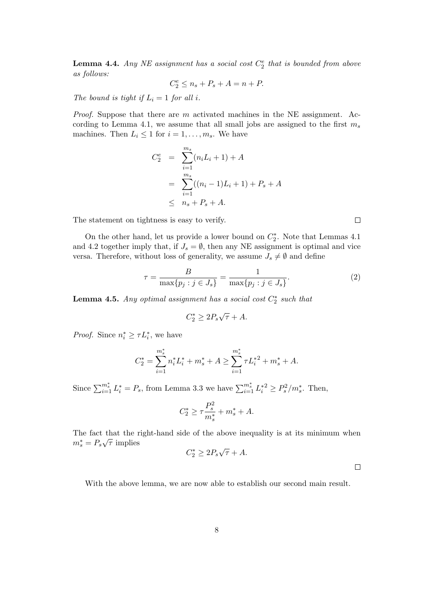**Lemma 4.4.** Any NE assignment has a social cost  $C_2^e$  that is bounded from above as follows:

$$
C_2^e \le n_s + P_s + A = n + P.
$$

The bound is tight if  $L_i = 1$  for all i.

*Proof.* Suppose that there are  $m$  activated machines in the NE assignment. According to Lemma 4.1, we assume that all small jobs are assigned to the first  $m_s$ machines. Then  $L_i \leq 1$  for  $i = 1, \ldots, m_s$ . We have

$$
C_2^e = \sum_{i=1}^{m_s} (n_i L_i + 1) + A
$$
  
= 
$$
\sum_{i=1}^{m_s} ((n_i - 1)L_i + 1) + P_s + A
$$
  

$$
\leq n_s + P_s + A.
$$

The statement on tightness is easy to verify.

On the other hand, let us provide a lower bound on  $C_2^*$ . Note that Lemmas 4.1 and 4.2 together imply that, if  $J_s = \emptyset$ , then any NE assignment is optimal and vice versa. Therefore, without loss of generality, we assume  $J_s \neq \emptyset$  and define

$$
\tau = \frac{B}{\max\{p_j : j \in J_s\}} = \frac{1}{\max\{p_j : j \in J_s\}}.\tag{2}
$$

**Lemma 4.5.** Any optimal assignment has a social cost  $C_2^*$  such that

$$
C_2^* \ge 2P_s\sqrt{\tau} + A.
$$

*Proof.* Since  $n_i^* \geq \tau L_i^*$ , we have

$$
C_2^* = \sum_{i=1}^{m_s^*} n_i^* L_i^* + m_s^* + A \ge \sum_{i=1}^{m_s^*} \tau L_i^{*2} + m_s^* + A.
$$

Since  $\sum_{i=1}^{m_s^*} L_i^* = P_s$ , from Lemma 3.3 we have  $\sum_{i=1}^{m_s^*} L_i^{*2} \ge P_s^2/m_s^*$ . Then,

$$
C_2^* \ge \tau \frac{P_s^2}{m_s^*} + m_s^* + A.
$$

The fact that the right-hand side of the above inequality is at its minimum when The fact that the 1<br> $m_s^* = P_s \sqrt{\tau}$  implies √

$$
C_2^* \ge 2P_s\sqrt{\tau} + A.
$$

 $\Box$ 

 $\Box$ 

With the above lemma, we are now able to establish our second main result.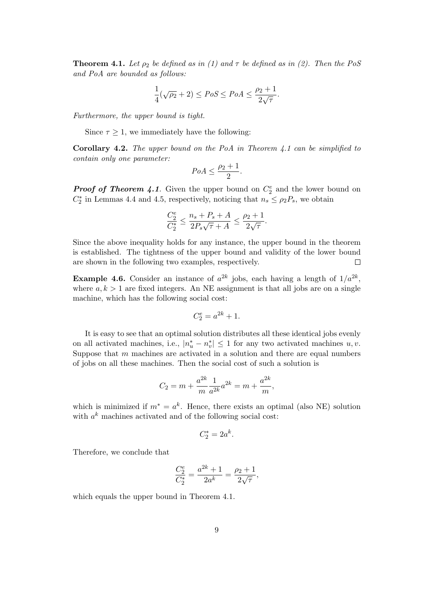**Theorem 4.1.** Let  $\rho_2$  be defined as in (1) and  $\tau$  be defined as in (2). Then the PoS and PoA are bounded as follows:

$$
\frac{1}{4}(\sqrt{\rho_2}+2) \le PoS \le PoA \le \frac{\rho_2+1}{2\sqrt{\tau}}.
$$

Furthermore, the upper bound is tight.

Since  $\tau \geq 1$ , we immediately have the following:

Corollary 4.2. The upper bound on the PoA in Theorem 4.1 can be simplified to contain only one parameter:

$$
PoA \le \frac{\rho_2 + 1}{2}.
$$

**Proof of Theorem 4.1**. Given the upper bound on  $C_2^e$  and the lower bound on  $C_2^*$  in Lemmas 4.4 and 4.5, respectively, noticing that  $n_s \leq \rho_2 P_s$ , we obtain

$$
\frac{C_2^e}{C_2^*} \le \frac{n_s + P_s + A}{2P_s\sqrt{\tau} + A} \le \frac{\rho_2 + 1}{2\sqrt{\tau}}.
$$

Since the above inequality holds for any instance, the upper bound in the theorem is established. The tightness of the upper bound and validity of the lower bound are shown in the following two examples, respectively.  $\Box$ 

**Example 4.6.** Consider an instance of  $a^{2k}$  jobs, each having a length of  $1/a^{2k}$ , where  $a, k > 1$  are fixed integers. An NE assignment is that all jobs are on a single machine, which has the following social cost:

$$
C_2^e = a^{2k} + 1.
$$

It is easy to see that an optimal solution distributes all these identical jobs evenly on all activated machines, i.e.,  $|n_u^* - n_v^*| \leq 1$  for any two activated machines  $u, v$ . Suppose that m machines are activated in a solution and there are equal numbers of jobs on all these machines. Then the social cost of such a solution is

$$
C_2 = m + \frac{a^{2k}}{m} \frac{1}{a^{2k}} a^{2k} = m + \frac{a^{2k}}{m},
$$

which is minimized if  $m^* = a^k$ . Hence, there exists an optimal (also NE) solution with  $a^k$  machines activated and of the following social cost:

$$
C_2^* = 2a^k.
$$

Therefore, we conclude that

$$
\frac{C_2^e}{C_2^*} = \frac{a^{2k} + 1}{2a^k} = \frac{\rho_2 + 1}{2\sqrt{\tau}},
$$

which equals the upper bound in Theorem 4.1.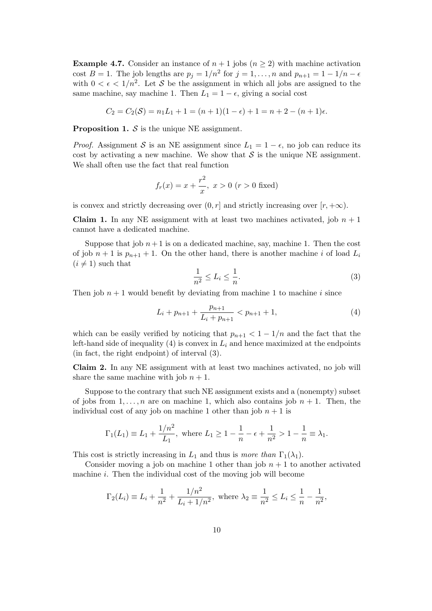**Example 4.7.** Consider an instance of  $n + 1$  jobs ( $n \ge 2$ ) with machine activation cost  $B = 1$ . The job lengths are  $p_j = 1/n^2$  for  $j = 1, ..., n$  and  $p_{n+1} = 1 - 1/n - \epsilon$ with  $0 < \epsilon < 1/n^2$ . Let S be the assignment in which all jobs are assigned to the same machine, say machine 1. Then  $L_1 = 1 - \epsilon$ , giving a social cost

$$
C_2 = C_2(S) = n_1 L_1 + 1 = (n+1)(1 - \epsilon) + 1 = n + 2 - (n+1)\epsilon.
$$

**Proposition 1.**  $S$  is the unique NE assignment.

*Proof.* Assignment S is an NE assignment since  $L_1 = 1 - \epsilon$ , no job can reduce its cost by activating a new machine. We show that  $S$  is the unique NE assignment. We shall often use the fact that real function

$$
f_r(x) = x + \frac{r^2}{x}, \ x > 0 \ (r > 0 \text{ fixed})
$$

is convex and strictly decreasing over  $(0, r]$  and strictly increasing over  $[r, +\infty)$ .

**Claim 1.** In any NE assignment with at least two machines activated, job  $n + 1$ cannot have a dedicated machine.

Suppose that job  $n+1$  is on a dedicated machine, say, machine 1. Then the cost of job  $n+1$  is  $p_{n+1}+1$ . On the other hand, there is another machine i of load  $L_i$  $(i \neq 1)$  such that

$$
\frac{1}{n^2} \le L_i \le \frac{1}{n}.\tag{3}
$$

Then job  $n + 1$  would benefit by deviating from machine 1 to machine i since

$$
L_i + p_{n+1} + \frac{p_{n+1}}{L_i + p_{n+1}} < p_{n+1} + 1,\tag{4}
$$

which can be easily verified by noticing that  $p_{n+1} < 1 - 1/n$  and the fact that the left-hand side of inequality (4) is convex in  $L_i$  and hence maximized at the endpoints (in fact, the right endpoint) of interval (3).

Claim 2. In any NE assignment with at least two machines activated, no job will share the same machine with job  $n + 1$ .

Suppose to the contrary that such NE assignment exists and a (nonempty) subset of jobs from  $1, \ldots, n$  are on machine 1, which also contains job  $n + 1$ . Then, the individual cost of any job on machine 1 other than job  $n + 1$  is

$$
\Gamma_1(L_1) \equiv L_1 + \frac{1/n^2}{L_1}
$$
, where  $L_1 \ge 1 - \frac{1}{n} - \epsilon + \frac{1}{n^2} > 1 - \frac{1}{n} \equiv \lambda_1$ .

This cost is strictly increasing in  $L_1$  and thus is more than  $\Gamma_1(\lambda_1)$ .

Consider moving a job on machine 1 other than job  $n + 1$  to another activated machine  $i$ . Then the individual cost of the moving job will become

$$
\Gamma_2(L_i) \equiv L_i + \frac{1}{n^2} + \frac{1/n^2}{L_i + 1/n^2}
$$
, where  $\lambda_2 \equiv \frac{1}{n^2} \le L_i \le \frac{1}{n} - \frac{1}{n^2}$ ,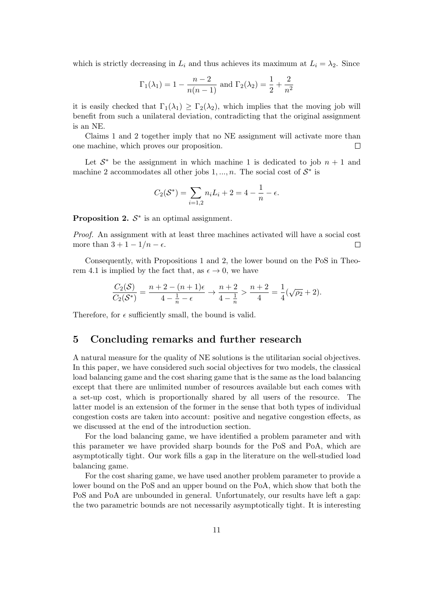which is strictly decreasing in  $L_i$  and thus achieves its maximum at  $L_i = \lambda_2$ . Since

$$
\Gamma_1(\lambda_1) = 1 - \frac{n-2}{n(n-1)}
$$
 and  $\Gamma_2(\lambda_2) = \frac{1}{2} + \frac{2}{n^2}$ 

it is easily checked that  $\Gamma_1(\lambda_1) \geq \Gamma_2(\lambda_2)$ , which implies that the moving job will benefit from such a unilateral deviation, contradicting that the original assignment is an NE.

Claims 1 and 2 together imply that no NE assignment will activate more than one machine, which proves our proposition.  $\Box$ 

Let  $\mathcal{S}^*$  be the assignment in which machine 1 is dedicated to job  $n + 1$  and machine 2 accommodates all other jobs  $1, ..., n$ . The social cost of  $S^*$  is

$$
C_2(\mathcal{S}^*) = \sum_{i=1,2} n_i L_i + 2 = 4 - \frac{1}{n} - \epsilon.
$$

**Proposition 2.**  $S^*$  is an optimal assignment.

Proof. An assignment with at least three machines activated will have a social cost more than  $3 + 1 - 1/n - \epsilon$ .  $\Box$ 

Consequently, with Propositions 1 and 2, the lower bound on the PoS in Theorem 4.1 is implied by the fact that, as  $\epsilon \to 0$ , we have

$$
\frac{C_2(\mathcal{S})}{C_2(\mathcal{S}^*)} = \frac{n+2-(n+1)\epsilon}{4-\frac{1}{n}-\epsilon} \to \frac{n+2}{4-\frac{1}{n}} > \frac{n+2}{4} = \frac{1}{4}(\sqrt{\rho_2}+2).
$$

Therefore, for  $\epsilon$  sufficiently small, the bound is valid.

## 5 Concluding remarks and further research

A natural measure for the quality of NE solutions is the utilitarian social objectives. In this paper, we have considered such social objectives for two models, the classical load balancing game and the cost sharing game that is the same as the load balancing except that there are unlimited number of resources available but each comes with a set-up cost, which is proportionally shared by all users of the resource. The latter model is an extension of the former in the sense that both types of individual congestion costs are taken into account: positive and negative congestion effects, as we discussed at the end of the introduction section.

For the load balancing game, we have identified a problem parameter and with this parameter we have provided sharp bounds for the PoS and PoA, which are asymptotically tight. Our work fills a gap in the literature on the well-studied load balancing game.

For the cost sharing game, we have used another problem parameter to provide a lower bound on the PoS and an upper bound on the PoA, which show that both the PoS and PoA are unbounded in general. Unfortunately, our results have left a gap: the two parametric bounds are not necessarily asymptotically tight. It is interesting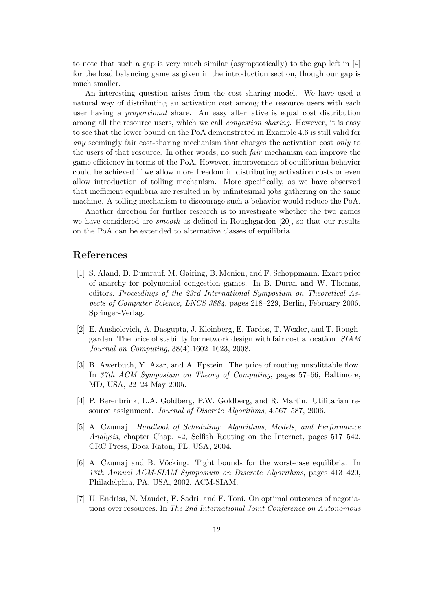to note that such a gap is very much similar (asymptotically) to the gap left in [4] for the load balancing game as given in the introduction section, though our gap is much smaller.

An interesting question arises from the cost sharing model. We have used a natural way of distributing an activation cost among the resource users with each user having a proportional share. An easy alternative is equal cost distribution among all the resource users, which we call congestion sharing. However, it is easy to see that the lower bound on the PoA demonstrated in Example 4.6 is still valid for any seemingly fair cost-sharing mechanism that charges the activation cost only to the users of that resource. In other words, no such fair mechanism can improve the game efficiency in terms of the PoA. However, improvement of equilibrium behavior could be achieved if we allow more freedom in distributing activation costs or even allow introduction of tolling mechanism. More specifically, as we have observed that inefficient equilibria are resulted in by infinitesimal jobs gathering on the same machine. A tolling mechanism to discourage such a behavior would reduce the PoA.

Another direction for further research is to investigate whether the two games we have considered are smooth as defined in Roughgarden [20], so that our results on the PoA can be extended to alternative classes of equilibria.

## References

- [1] S. Aland, D. Dumrauf, M. Gairing, B. Monien, and F. Schoppmann. Exact price of anarchy for polynomial congestion games. In B. Duran and W. Thomas, editors, Proceedings of the 23rd International Symposium on Theoretical Aspects of Computer Science, LNCS 3884, pages 218–229, Berlin, February 2006. Springer-Verlag.
- [2] E. Anshelevich, A. Dasgupta, J. Kleinberg, E. Tardos, T. Wexler, and T. Roughgarden. The price of stability for network design with fair cost allocation. SIAM Journal on Computing, 38(4):1602–1623, 2008.
- [3] B. Awerbuch, Y. Azar, and A. Epstein. The price of routing unsplittable flow. In 37th ACM Symposium on Theory of Computing, pages 57–66, Baltimore, MD, USA, 22–24 May 2005.
- [4] P. Berenbrink, L.A. Goldberg, P.W. Goldberg, and R. Martin. Utilitarian resource assignment. Journal of Discrete Algorithms, 4:567–587, 2006.
- [5] A. Czumaj. Handbook of Scheduling: Algorithms, Models, and Performance Analysis, chapter Chap. 42, Selfish Routing on the Internet, pages 517–542. CRC Press, Boca Raton, FL, USA, 2004.
- [6] A. Czumaj and B. Vöcking. Tight bounds for the worst-case equilibria. In 13th Annual ACM-SIAM Symposium on Discrete Algorithms, pages 413–420, Philadelphia, PA, USA, 2002. ACM-SIAM.
- [7] U. Endriss, N. Maudet, F. Sadri, and F. Toni. On optimal outcomes of negotiations over resources. In The 2nd International Joint Conference on Autonomous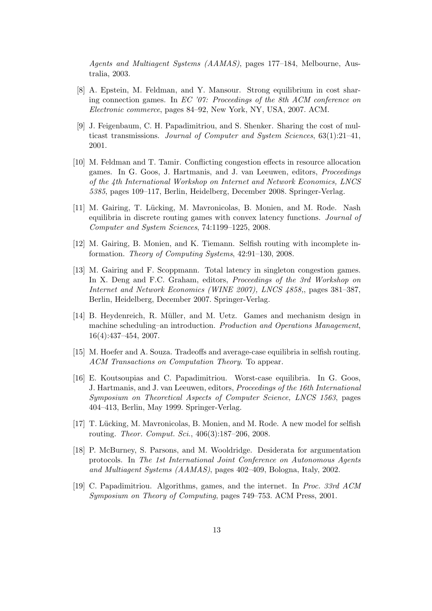Agents and Multiagent Systems (AAMAS), pages 177–184, Melbourne, Australia, 2003.

- [8] A. Epstein, M. Feldman, and Y. Mansour. Strong equilibrium in cost sharing connection games. In  $EC'$  '07: Proceedings of the 8th ACM conference on Electronic commerce, pages 84–92, New York, NY, USA, 2007. ACM.
- [9] J. Feigenbaum, C. H. Papadimitriou, and S. Shenker. Sharing the cost of multicast transmissions. Journal of Computer and System Sciences,  $63(1):21-41$ , 2001.
- [10] M. Feldman and T. Tamir. Conflicting congestion effects in resource allocation games. In G. Goos, J. Hartmanis, and J. van Leeuwen, editors, Proceedings of the 4th International Workshop on Internet and Network Economics, LNCS 5385, pages 109–117, Berlin, Heidelberg, December 2008. Springer-Verlag.
- [11] M. Gairing, T. Lücking, M. Mavronicolas, B. Monien, and M. Rode. Nash equilibria in discrete routing games with convex latency functions. Journal of Computer and System Sciences, 74:1199–1225, 2008.
- [12] M. Gairing, B. Monien, and K. Tiemann. Selfish routing with incomplete information. Theory of Computing Systems, 42:91–130, 2008.
- [13] M. Gairing and F. Scoppmann. Total latency in singleton congestion games. In X. Deng and F.C. Graham, editors, *Proceedings of the 3rd Workshop on* Internet and Network Economics (WINE 2007), LNCS 4858,, pages 381–387, Berlin, Heidelberg, December 2007. Springer-Verlag.
- [14] B. Heydenreich, R. Müller, and M. Uetz. Games and mechanism design in machine scheduling–an introduction. Production and Operations Management, 16(4):437–454, 2007.
- [15] M. Hoefer and A. Souza. Tradeoffs and average-case equilibria in selfish routing. ACM Transactions on Computation Theory. To appear.
- [16] E. Koutsoupias and C. Papadimitriou. Worst-case equilibria. In G. Goos, J. Hartmanis, and J. van Leeuwen, editors, Proceedings of the 16th International Symposium on Theoretical Aspects of Computer Science, LNCS 1563, pages 404–413, Berlin, May 1999. Springer-Verlag.
- [17] T. Lücking, M. Mavronicolas, B. Monien, and M. Rode. A new model for selfish routing. Theor. Comput. Sci., 406(3):187–206, 2008.
- [18] P. McBurney, S. Parsons, and M. Wooldridge. Desiderata for argumentation protocols. In The 1st International Joint Conference on Autonomous Agents and Multiagent Systems (AAMAS), pages 402–409, Bologna, Italy, 2002.
- [19] C. Papadimitriou. Algorithms, games, and the internet. In Proc. 33rd ACM Symposium on Theory of Computing, pages 749–753. ACM Press, 2001.